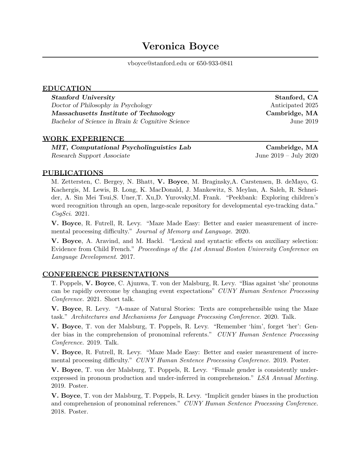vboyce@stanford.edu or 650-933-0841

## EDUCATION

Stanford University **Stanford, CA** Doctor of Philosophy in Psychology and a settlement of Philosophy in Psychology and a settlement of  $\alpha$ Massachusetts Institute of Technology Cambridge, MA Bachelor of Science in Brain & Cognitive Science Tune 2019

# WORK EXPERIENCE

MIT, Computational Psycholinguistics Lab Cambridge, MA Research Support Associate June 2019 – July 2020

### PUBLICATIONS

M. Zettersten, C. Bergey, N. Bhatt, V. Boyce, M. Braginsky,A. Carstensen, B. deMayo, G. Kachergis, M. Lewis, B. Long, K. MacDonald, J. Mankewitz, S. Meylan, A. Saleh, R. Schneider, A. Sin Mei Tsui,S. Uner,T. Xu,D. Yurovsky,M. Frank. "Peekbank: Exploring children's word recognition through an open, large-scale repository for developmental eye-tracking data." CogSci. 2021.

V. Boyce, R. Futrell, R. Levy. "Maze Made Easy: Better and easier measurement of incremental processing difficulty." Journal of Memory and Language. 2020.

V. Boyce, A. Aravind, and M. Hackl. "Lexical and syntactic effects on auxiliary selection: Evidence from Child French." Proceedings of the 41st Annual Boston University Conference on Language Development. 2017.

# CONFERENCE PRESENTATIONS

T. Poppels, V. Boyce, C. Ajunwa, T. von der Malsburg, R. Levy. "Bias against 'she' pronouns can be rapidly overcome by changing event expectations" CUNY Human Sentence Processing Conference. 2021. Short talk.

V. Boyce, R. Levy. "A-maze of Natural Stories: Texts are comprehensible using the Maze task." Architectures and Mechanisms for Language Processing Conference. 2020. Talk.

V. Boyce, T. von der Malsburg, T. Poppels, R. Levy. "Remember 'him', forget 'her': Gender bias in the comprehension of pronominal referents." CUNY Human Sentence Processing Conference. 2019. Talk.

V. Boyce, R. Futrell, R. Levy. "Maze Made Easy: Better and easier measurement of incremental processing difficulty." CUNY Human Sentence Processing Conference. 2019. Poster.

V. Boyce, T. von der Malsburg, T. Poppels, R. Levy. "Female gender is consistently underexpressed in pronoun production and under-inferred in comprehension." LSA Annual Meeting. 2019. Poster.

V. Boyce, T. von der Malsburg, T. Poppels, R. Levy. "Implicit gender biases in the production and comprehension of pronominal references." CUNY Human Sentence Processing Conference. 2018. Poster.